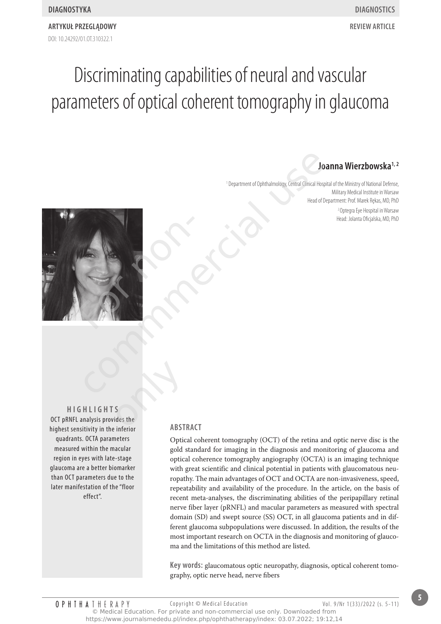# **Joanna Wierzbowska1, 2**

<sup>1</sup> Department of Ophthalmology, Central Clinical Hospital of the Ministry of National Defense, Military Medical Institute in Warsaw Head of Department: Prof. Marek Rękas, MD, PhD <sup>2</sup>Optegra Eye Hospital in Warsaw Head: Jolanta Oficjalska, MD, PhD



**HigHligHts** OCT pRNFL analysis provides the highest sensitivity in the inferior quadrants. OCTA parameters measured within the macular region in eyes with late-stage glaucoma are a better biomarker than OCT parameters due to the later manifestation of the "floor effect". S<br>
S<br>
S<br>
Lides the<br>
Linforms<br>
ARST

#### **AbstrAct**

Optical coherent tomography (OCT) of the retina and optic nerve disc is the gold standard for imaging in the diagnosis and monitoring of glaucoma and optical coherence tomography angiography (OCTA) is an imaging technique with great scientific and clinical potential in patients with glaucomatous neuropathy. The main advantages of OCT and OCTA are non-invasiveness, speed, repeatability and availability of the procedure. In the article, on the basis of recent meta-analyses, the discriminating abilities of the peripapillary retinal nerve fiber layer (pRNFL) and macular parameters as measured with spectral domain (SD) and swept source (SS) OCT, in all glaucoma patients and in different glaucoma subpopulations were discussed. In addition, the results of the most important research on OCTA in the diagnosis and monitoring of glaucoma and the limitations of this method are listed.

**key words:** glaucomatous optic neuropathy, diagnosis, optical coherent tomography, optic nerve head, nerve fibers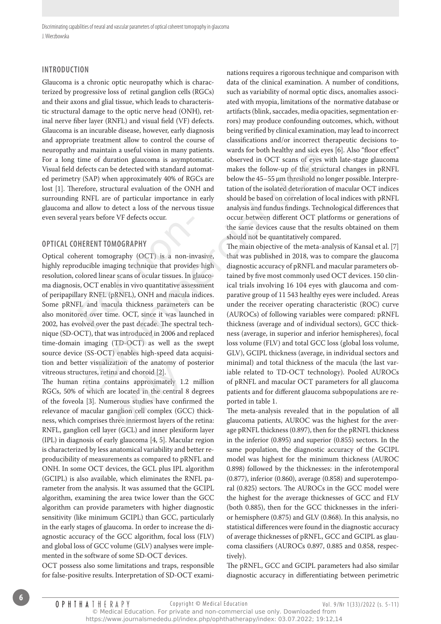#### **introduction**

Glaucoma is a chronic optic neuropathy which is characterized by progressive loss of retinal ganglion cells (RGCs) and their axons and glial tissue, which leads to characteristic structural damage to the optic nerve head (ONH), retinal nerve fiber layer (RNFL) and visual field (VF) defects. Glaucoma is an incurable disease, however, early diagnosis and appropriate treatment allow to control the course of neuropathy and maintain a useful vision in many patients. For a long time of duration glaucoma is asymptomatic. Visual field defects can be detected with standard automated perimetry (SAP) when approximately 40% of RGCs are lost [1]. Therefore, structural evaluation of the ONH and surrounding RNFL are of particular importance in early glaucoma and allow to detect a loss of the nervous tissue even several years before VF defects occur.

# **opticAl coHerent tomogrApHy**

Optical coherent tomography (OCT) is a non-invasive, highly reproducible imaging technique that provides high resolution, colored linear scans of ocular tissues. In glaucoma diagnosis, OCT enables in vivo quantitative assessment of peripapillary RNFL (pRNFL), ONH and macula indices. Some pRNFL and macula thickness parameters can be also monitored over time. OCT, since it was launched in 2002, has evolved over the past decade. The spectral technique (SD-OCT), that was introduced in 2006 and replaced time-domain imaging (TD-OCT) as well as the swept source device (SS-OCT) enables high-speed data acquisition and better visualization of the anatomy of posterior vitreous structures, retina and choroid [2]. Property Actes Sccure<br>
FORENT TOMOGRAPHY<br>
FORENT TOMOGRAPHY<br>
FORENT TOMOGRAPHY<br>
FORENT TOMOGRAPHY<br>
FORENT SERVICE 2018<br>
FORENT SURFALL CONTERT AND AND THE ANDRENT SERVICE AND<br>
FORENT AND THE AND SERVICE SPACE ON THE ANDMEN In marking material wise to bout near the seal of buring particles and the common interest of the sealing of duration glucoma is asymptomatic. observed in OCT scans of eyes with<br>effects can be detected with standard automa

The human retina contains approximately 1.2 million RGCs, 50% of which are located in the central 8 degrees of the foveola [3]. Numerous studies have confirmed the relevance of macular ganglion cell complex (GCC) thickness, which comprises three innermost layers of the retina: RNFL, ganglion cell layer (GCL) and inner plexiform layer (IPL) in diagnosis of early glaucoma [4, 5]. Macular region is characterized by less anatomical variability and better reproducibility of measurements as compared to pRNFL and ONH. In some OCT devices, the GCL plus IPL algorithm (GCIPL) is also available, which eliminates the RNFL parameter from the analysis. It was assumed that the GCIPL algorithm, examining the area twice lower than the GCC algorithm can provide parameters with higher diagnostic sensitivity (like minimum GCIPL) than GCC, particularly in the early stages of glaucoma. In order to increase the diagnostic accuracy of the GCC algorithm, focal loss (FLV) and global loss of GCC volume (GLV) analyses were implemented in the software of some SD-OCT devices. ation of the anatomy of<br>ha and choroid [2].<br>htains approximately 1.2<br>e located in the central {<br>erous studies have confi<br>nglion cell complex (GC<br>nree innermost layers of t

OCT possess also some limitations and traps, responsible for false-positive results. Interpretation of SD-OCT examinations requires a rigorous technique and comparison with data of the clinical examination. A number of conditions, such as variability of normal optic discs, anomalies associated with myopia, limitations of the normative database or artifacts (blink, saccades, media opacities, segmentation errors) may produce confounding outcomes, which, without being verified by clinical examination, may lead to incorrect classifications and/or incorrect therapeutic decisions towards for both healthy and sick eyes [6]. Also "floor effect" observed in OCT scans of eyes with late-stage glaucoma makes the follow-up of the structural changes in pRNFL below the 45–55 μm threshold no longer possible. Interpretation of the isolated deterioration of macular OCT indices should be based on correlation of local indices with pRNFL analysis and fundus findings. Technological differences that occur between different OCT platforms or generations of the same devices cause that the results obtained on them should not be quantitatively compared.

The main objective of the meta-analysis of Kansal et al. [7] that was published in 2018, was to compare the glaucoma diagnostic accuracy of pRNFL and macular parameters obtained by five most commonly used OCT devices. 150 clinical trials involving 16 104 eyes with glaucoma and comparative group of 11 543 healthy eyes were included. Areas under the receiver operating characteristic (ROC) curve (AUROCs) of following variables were compared: pRNFL thickness (average and of individual sectors), GCC thickness (average, in superior and inferior hemispheres), focal loss volume (FLV) and total GCC loss (global loss volume, GLV), GCIPL thickness (average, in individual sectors and minimal) and total thickness of the macula (the last variable related to TD-OCT technology). Pooled AUROCs of pRNFL and macular OCT parameters for all glaucoma patients and for different glaucoma subpopulations are reported in table 1.

The meta-analysis revealed that in the population of all glaucoma patients, AUROC was the highest for the average pRNFL thickness (0.897), then for the pRNFL thickness in the inferior (0.895) and superior (0.855) sectors. In the same population, the diagnostic accuracy of the GCIPL model was highest for the minimum thickness (AUROC 0.898) followed by the thicknesses: in the inferotemporal (0.877), inferior (0.860), average (0.858) and superotemporal (0.825) sectors. The AUROCs in the GCC model were the highest for the average thicknesses of GCC and FLV (both 0.885), then for the GCC thicknesses in the inferior hemisphere (0.875) and GLV (0.868). In this analysis, no statistical differences were found in the diagnostic accuracy of average thicknesses of pRNFL, GCC and GCIPL as glaucoma classifiers (AUROCs 0.897, 0.885 and 0.858, respectively).

The pRNFL, GCC and GCIPL parameters had also similar diagnostic accuracy in differentiating between perimetric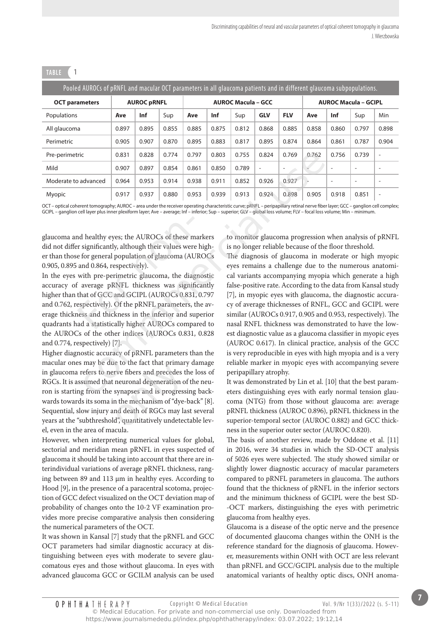| Pooled AUROCs of pRNFL and macular OCT parameters in all glaucoma patients and in different glaucoma subpopulations. |                    |       |       |                           |       |       |                          |                          |                             |                          |                          |                          |
|----------------------------------------------------------------------------------------------------------------------|--------------------|-------|-------|---------------------------|-------|-------|--------------------------|--------------------------|-----------------------------|--------------------------|--------------------------|--------------------------|
| <b>OCT</b> parameters                                                                                                | <b>AUROC pRNFL</b> |       |       | <b>AUROC Macula - GCC</b> |       |       |                          |                          | <b>AUROC Macula - GCIPL</b> |                          |                          |                          |
| Populations                                                                                                          | Ave                | Inf   | Sup   | Ave                       | Inf   | Sup   | <b>GLV</b>               | <b>FLV</b>               | Ave                         | Inf                      | Sup                      | Min                      |
| All glaucoma                                                                                                         | 0.897              | 0.895 | 0.855 | 0.885                     | 0.875 | 0.812 | 0.868                    | 0.885                    | 0.858                       | 0.860                    | 0.797                    | 0.898                    |
| Perimetric                                                                                                           | 0.905              | 0.907 | 0.870 | 0.895                     | 0.883 | 0.817 | 0.895                    | 0.874                    | 0.864                       | 0.861                    | 0.787                    | 0.904                    |
| Pre-perimetric                                                                                                       | 0.831              | 0.828 | 0.774 | 0.797                     | 0.803 | 0.755 | 0.824                    | 0.769                    | 0.762                       | 0.756                    | 0.739                    | ٠                        |
| Mild                                                                                                                 | 0.907              | 0.897 | 0.854 | 0.861                     | 0.850 | 0.789 | $\overline{\phantom{a}}$ | $\overline{\phantom{a}}$ |                             | $\overline{\phantom{a}}$ | $\overline{\phantom{a}}$ | $\overline{\phantom{0}}$ |
| Moderate to advanced                                                                                                 | 0.964              | 0.953 | 0.914 | 0.938                     | 0.911 | 0.852 | 0.926                    | 0.927                    |                             | $\overline{\phantom{a}}$ |                          | -                        |
| Myopic                                                                                                               | 0.917              | 0.937 | 0.880 | 0.953                     | 0.939 | 0.913 | 0.924                    | 0.898                    | 0.905                       | 0.918                    | 0.851                    | ٠                        |

**tAble 1**

OCT – optical coherent tomography; AUROC – area under the receiver operating characteristic curve; pRNFL – peripapillary retinal nerve fiber layer; GCC – ganglion cell complex; GCIPL – ganglion cell layer plus inner plexiform layer; Ave – average; Inf – inferior; Sup – superior; GLV – global loss volume; FLV – focal loss volume; Min – minimum.

glaucoma and healthy eyes; the AUROCs of these markers did not differ significantly, although their values were higher than those for general population of glaucoma (AUROCs 0.905, 0.895 and 0.864, respectively).

In the eyes with pre-perimetric glaucoma, the diagnostic accuracy of average pRNFL thickness was significantly higher than that of GCC and GCIPL (AUROCs 0.831, 0.797 and 0.762, respectively). Of the pRNFL parameters, the average thickness and thickness in the inferior and superior quadrants had a statistically higher AUROCs compared to the AUROCs of the other indices (AUROCs 0.831, 0.828 and 0.774, respectively) [7]. nd healthy eyes; the AUROCs of these m<br>or significantly, although their values were<br>e for general population of glaucoma (AU<br>and 0.864, respectively).<br>with pre-perimetric glaucoma, the diag<br>f average pRNFL thickness was si

Higher diagnostic accuracy of pRNFL parameters than the macular ones may be due to the fact that primary damage in glaucoma refers to nerve fibers and precedes the loss of RGCs. It is assumed that neuronal degeneration of the neuron is starting from the synapses and is progressing backwards towards its soma in the mechanism of "dye-back" [8]. Sequential, slow injury and death of RGCs may last several years at the "subthreshold", quantitatively undetectable level, even in the area of macula. e to the fact that primar<br>rve fibers and precedes t<br>neuronal degeneration of<br>synapses and is progress<br>in the mechanism of "dye-<br>nd death of RGCs may la<br>d", quantitatively undeted

However, when interpreting numerical values for global, sectorial and meridian mean pRNFL in eyes suspected of glaucoma it should be taking into account that there are interindividual variations of average pRNFL thickness, ranging between 89 and 113 μm in healthy eyes. According to Hood [9], in the presence of a paracentral scotoma, projection of GCC defect visualized on the OCT deviation map of probability of changes onto the 10-2 VF examination provides more precise comparative analysis then considering the numerical parameters of the OCT.

It was shown in Kansal [7] study that the pRNFL and GCC OCT parameters had similar diagnostic accuracy at distinguishing between eyes with moderate to severe glaucomatous eyes and those without glaucoma. In eyes with advanced glaucoma GCC or GCILM analysis can be used to monitor glaucoma progression when analysis of pRNFL is no longer reliable because of the floor threshold.

The diagnosis of glaucoma in moderate or high myopic eyes remains a challenge due to the numerous anatomical variants accompanying myopia which generate a high false-positive rate. According to the data from Kansal study [7], in myopic eyes with glaucoma, the diagnostic accuracy of average thicknesses of RNFL, GCC and GCIPL were similar (AUROCs 0.917, 0.905 and 0.953, respectively). The nasal RNFL thickness was demonstrated to have the lowest diagnostic value as a glaucoma classifier in myopic eyes (AUROC 0.617). In clinical practice, analysis of the GCC is very reproducible in eyes with high myopia and is a very reliable marker in myopic eyes with accompanying severe peripapillary atrophy. ic  $\frac{0.831}{0.937}$   $\frac{0.838}{0.854}$   $\frac{0.754}{0.854}$   $\frac{0.854}{0.850}$   $\frac{0.755}{0.824}$   $\frac{0.769}{0.762}$   $\frac{0.762}{0.937}$   $\frac{0.837}{0.884}$   $\frac{0.851}{0.852}$   $\frac{0.859}{0.925}$   $\frac{0.927}{0.927}$   $\frac{0.917}{0.937}$   $\$ 

It was demonstrated by Lin et al. [10] that the best parameters distinguishing eyes with early normal tension glaucoma (NTG) from those without glaucoma are: average pRNFL thickness (AUROC 0.896), pRNFL thickness in the superior-temporal sector (AUROC 0.882) and GCC thickness in the superior outer sector (AUROC 0.820).

The basis of another review, made by Oddone et al. [11] in 2016, were 34 studies in which the SD-OCT analysis of 5026 eyes were subjected. The study showed similar or slightly lower diagnostic accuracy of macular parameters compared to pRNFL parameters in glaucoma. The authors found that the thickness of pRNFL in the inferior sectors and the minimum thickness of GCIPL were the best SD- -OCT markers, distinguishing the eyes with perimetric glaucoma from healthy eyes.

Glaucoma is a disease of the optic nerve and the presence of documented glaucoma changes within the ONH is the reference standard for the diagnosis of glaucoma. However, measurements within ONH with OCT are less relevant than pRNFL and GCC/GCIPL analysis due to the multiple anatomical variants of healthy optic discs, ONH anoma-

© Medical Education. For private and non-commercial use only. Downloaded from https://www.journalsmededu.pl/index.php/ophthatherapy/index: 03.07.2022; 19:12,14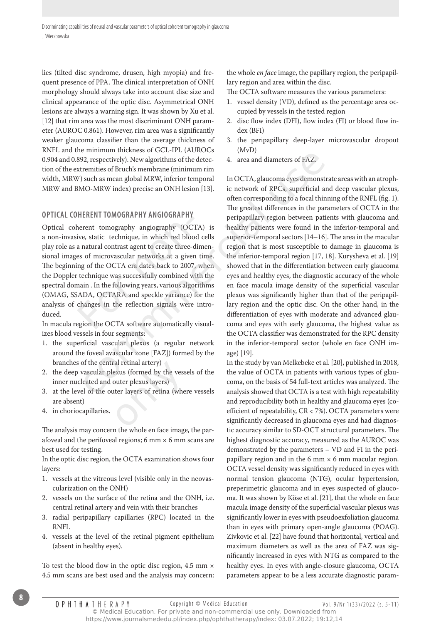lies (tilted disc syndrome, drusen, high myopia) and frequent presence of PPA. The clinical interpretation of ONH morphology should always take into account disc size and clinical appearance of the optic disc. Asymmetrical ONH lesions are always a warning sign. It was shown by Xu et al. [12] that rim area was the most discriminant ONH parameter (AUROC 0.861). However, rim area was a significantly weaker glaucoma classifier than the average thickness of RNFL and the minimum thickness of GCL-IPL (AUROCs 0.904 and 0.892, respectively). New algorithms of the detection of the extremities of Bruch's membrane (minimum rim width, MRW) such as mean global MRW, inferior temporal MRW and BMO-MRW index) precise an ONH lesion [13].

#### **opticAl coHerent tomogrApHy AngiogrApHy**

Optical coherent tomography angiography (OCTA) is a non-invasive, static technique, in which red blood cells play role as a natural contrast agent to create three-dimensional images of microvascular networks at a given time. The beginning of the OCTA era dates back to 2007, when the Doppler technique was successfully combined with the spectral domain . In the following years, various algorithms (OMAG, SSADA, OCTARA and speckle variance) for the analysis of changes in the reflection signals were introduced. The<br>
Internet tomography angiography (OC"<br>
ive, static technique, in which red bloo<br>
a natural contrast agent to create three-ces<br>
of microvascular networks at a giver<br>
ing of the OCTA era dates back to 2007<br>
technique was

In macula region the OCTA software automatically visualizes blood vessels in four segments:

- 1. the superficial vascular plexus (a regular network around the foveal avascular zone [FAZ]) formed by the branches of the central retinal artery)
- 2. the deep vascular plexus (formed by the vessels of the inner nucleated and outer plexus layers) ral retinal artery)<br>exus (formed by the vess<br>outer plexus layers)<br>tter layers of retina (whe
- 3. at the level of the outer layers of retina (where vessels are absent)
- 4. in choriocapillaries.

The analysis may concern the whole en face image, the parafoveal and the perifoveal regions; 6 mm  $\times$  6 mm scans are best used for testing.

In the optic disc region, the OCTA examination shows four layers:

- 1. vessels at the vitreous level (visible only in the neovascularization on the ONH)
- 2. vessels on the surface of the retina and the ONH, i.e. central retinal artery and vein with their branches
- 3. radial peripapillary capillaries (RPC) located in the RNFL
- 4. vessels at the level of the retinal pigment epithelium (absent in healthy eyes).

To test the blood flow in the optic disc region, 4.5 mm  $\times$ 4.5 mm scans are best used and the analysis may concern: the whole *en face* image, the papillary region, the peripapillary region and area within the disc.

The OCTA software measures the various parameters:

- 1. vessel density (VD), defined as the percentage area occupied by vessels in the tested region
- 2. disc flow index (DFI), flow index (FI) or blood flow index (BFI)
- 3. the peripapillary deep-layer microvascular dropout (MvD)
- 4. area and diameters of FAZ.

In OCTA, glaucoma eyes demonstrate areas with an atrophic network of RPCs, superficial and deep vascular plexus, often corresponding to a focal thinning of the RNFL (fig. 1). The greatest differences in the parameters of OCTA in the peripapillary region between patients with glaucoma and healthy patients were found in the inferior-temporal and superior-temporal sectors [14–16]. The area in the macular region that is most susceptible to damage in glaucoma is the inferior-temporal region [17, 18]. Kurysheva et al. [19] showed that in the differentiation between early glaucoma eyes and healthy eyes, the diagnostic accuracy of the whole en face macula image density of the superficial vascular plexus was significantly higher than that of the peripapillary region and the optic disc. On the other hand, in the differentiation of eyes with moderate and advanced glaucoma and eyes with early glaucoma, the highest value as the OCTA classifier was demonstrated for the RPC density in the inferior-temporal sector (whole en face ONH image) [19]. er nummari unchesies or GC-FFTF (NONCOSS)<br>
29, respectively). New algorithms of the detec-<br>
4. area and diameters of FAZ,<br>
tremities of Bruch's membrane (minimum rim<br>
3) such as mean global MRW, inferior temporal<br>
in OCTA,

In the study by van Melkebeke et al. [20], published in 2018, the value of OCTA in patients with various types of glaucoma, on the basis of 54 full-text articles was analyzed. The analysis showed that OCTA is a test with high repeatability and reproducibility both in healthy and glaucoma eyes (coefficient of repeatability, CR < 7%). OCTA parameters were significantly decreased in glaucoma eyes and had diagnostic accuracy similar to SD-OCT structural parameters. The highest diagnostic accuracy, measured as the AUROC was demonstrated by the parameters – VD and FI in the peripapillary region and in the 6 mm  $\times$  6 mm macular region. OCTA vessel density was significantly reduced in eyes with normal tension glaucoma (NTG), ocular hypertension, preperimetric glaucoma and in eyes suspected of glaucoma. It was shown by Köse et al. [21], that the whole en face macula image density of the superficial vascular plexus was significantly lower in eyes with pseudoexfoliation glaucoma than in eyes with primary open-angle glaucoma (POAG). Zivkovic et al. [22] have found that horizontal, vertical and maximum diameters as well as the area of FAZ was significantly increased in eyes with NTG as compared to the healthy eyes. In eyes with angle-closure glaucoma, OCTA parameters appear to be a less accurate diagnostic param-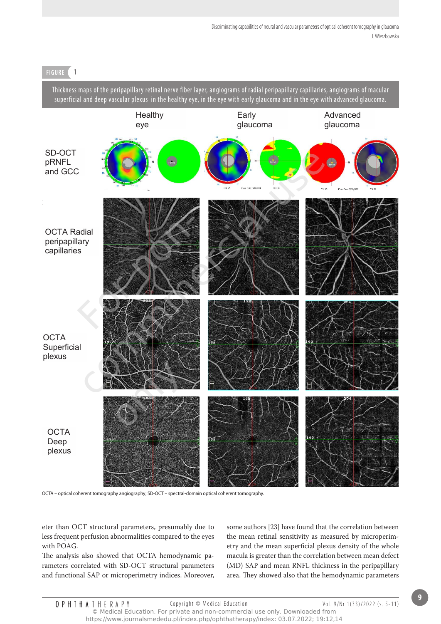# **Figure 1**

Thickness maps of the peripapillary retinal nerve fiber layer, angiograms of radial peripapillary capillaries, angiograms of macular superficial and deep vascular plexus in the healthy eye, in the eye with early glaucoma and in the eye with advanced glaucoma.



OCTA – optical coherent tomography angiography; SD-OCT – spectral-domain optical coherent tomography.

eter than OCT structural parameters, presumably due to less frequent perfusion abnormalities compared to the eyes with POAG.

The analysis also showed that OCTA hemodynamic parameters correlated with SD-OCT structural parameters and functional SAP or microperimetry indices. Moreover, some authors [23] have found that the correlation between the mean retinal sensitivity as measured by microperimetry and the mean superficial plexus density of the whole macula is greater than the correlation between mean defect (MD) SAP and mean RNFL thickness in the peripapillary area. They showed also that the hemodynamic parameters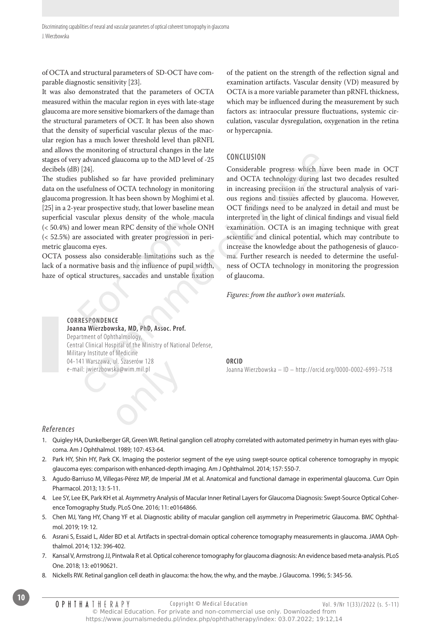of OCTA and structural parameters of SD-OCT have comparable diagnostic sensitivity [23].

It was also demonstrated that the parameters of OCTA measured within the macular region in eyes with late-stage glaucoma are more sensitive biomarkers of the damage than the structural parameters of OCT. It has been also shown that the density of superficial vascular plexus of the macular region has a much lower threshold level than pRNFL and allows the monitoring of structural changes in the late stages of very advanced glaucoma up to the MD level of -25 decibels (dB) [24].

The studies published so far have provided preliminary data on the usefulness of OCTA technology in monitoring glaucoma progression. It has been shown by Moghimi et al. [25] in a 2-year prospective study, that lower baseline mean superficial vascular plexus density of the whole macula (< 50.4%) and lower mean RPC density of the whole ONH (< 52.5%) are associated with greater progression in perimetric glaucoma eyes. vascular plexus density of the whole in<br>the discussion of the whole<br>re associated with greater progression in<br>coma eyes.<br>sess also considerable limitations such<br>rmative basis and the influence of pupil<br>ical structures, sac

OCTA possess also considerable limitations such as the lack of a normative basis and the influence of pupil width, haze of optical structures, saccades and unstable fixation

of the patient on the strength of the reflection signal and examination artifacts. Vascular density (VD) measured by OCTA is a more variable parameter than pRNFL thickness, which may be influenced during the measurement by such factors as: intraocular pressure fluctuations, systemic circulation, vascular dysregulation, oxygenation in the retina or hypercapnia.

### **conclusion**

Considerable progress which have been made in OCT and OCTA technology during last two decades resulted in increasing precision in the structural analysis of various regions and tissues affected by glaucoma. However, OCT findings need to be analyzed in detail and must be interpreted in the light of clinical findings and visual field examination. OCTA is an imaging technique with great scientific and clinical potential, which may contribute to increase the knowledge about the pathogenesis of glaucoma. Further research is needed to determine the usefulness of OCTA technology in monitoring the progression of glaucoma. in monting of stuctural changes in the late<br>
andwarded glaucoma up to the MD level of -25<br>
[24]. Considerable progress which have<br>
lightlested so far have provided preliminary and OCTA technology during last<br>
sestillness

*Figures: from the author's own materials.*

#### **correspondence Joanna Wierzbowska, md, phd, Assoc. prof.**

Department of Ophthalmology, Central Clinical Hospital of the Ministry of National Defense, Military Institute of Medicine 04-141 Warszawa, ul. Szaserów 128 e-mail: jwierzbowska@wim.mil.pl the Szabelow 126<br>ka@wim.mil.pl

#### **orcid**

Joanna Wierzbowska – ID – http://orcid.org/0000-0002-6993-7518

#### **References**

- 1. Quigley HA, Dunkelberger GR, Green WR. Retinal ganglion cell atrophy correlated with automated perimetry in human eyes with glaucoma. Am J Ophthalmol. 1989; 107: 453-64.
- 2. Park HY, Shin HY, Park CK. Imaging the posterior segment of the eye using swept-source optical coherence tomography in myopic glaucoma eyes: comparison with enhanced-depth imaging. Am J Ophthalmol. 2014; 157: 550-7.
- 3. Agudo-Barriuso M, Villegas-Pérez MP, de Imperial JM et al. Anatomical and functional damage in experimental glaucoma. Curr Opin Pharmacol. 2013; 13: 5-11.
- 4. Lee SY, Lee EK, Park KH et al. Asymmetry Analysis of Macular Inner Retinal Layers for Glaucoma Diagnosis: Swept-Source Optical Coherence Tomography Study. PLoS One. 2016; 11: e0164866.
- 5. Chen MJ, Yang HY, Chang YF et al. Diagnostic ability of macular ganglion cell asymmetry in Preperimetric Glaucoma. BMC Ophthalmol. 2019; 19: 12.
- 6. Asrani S, Essaid L, Alder BD et al. Artifacts in spectral-domain optical coherence tomography measurements in glaucoma. JAMA Ophthalmol. 2014; 132: 396-402.
- 7. Kansal V, Armstrong JJ, Pintwala R et al. Optical coherence tomography for glaucoma diagnosis: An evidence based meta-analysis. PLoS One. 2018; 13: e0190621.
- 8. Nickells RW. Retinal ganglion cell death in glaucoma: the how, the why, and the maybe. J Glaucoma. 1996; 5: 345-56.